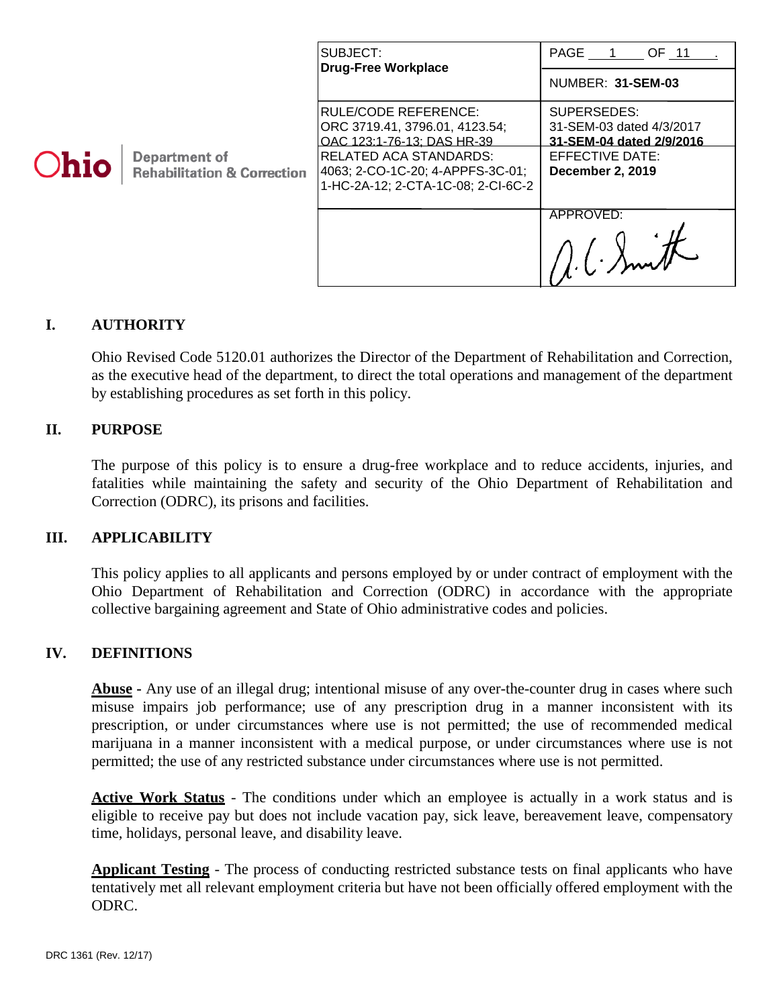| <b>Ohio</b> | Department of<br><b>Rehabilitation &amp; Correction</b> | SUBJECT:<br><b>Drug-Free Workplace</b>                                                                  | PAGE 1<br>OF 11                                                     |
|-------------|---------------------------------------------------------|---------------------------------------------------------------------------------------------------------|---------------------------------------------------------------------|
|             |                                                         |                                                                                                         | NUMBER: 31-SEM-03                                                   |
|             |                                                         | RULE/CODE REFERENCE:<br>ORC 3719.41, 3796.01, 4123.54;<br>OAC 123:1-76-13: DAS HR-39                    | SUPERSEDES:<br>31-SEM-03 dated 4/3/2017<br>31-SEM-04 dated 2/9/2016 |
|             |                                                         | <b>RELATED ACA STANDARDS:</b><br>4063; 2-CO-1C-20; 4-APPFS-3C-01;<br>1-HC-2A-12; 2-CTA-1C-08; 2-CI-6C-2 | EFFECTIVE DATE:<br><b>December 2, 2019</b>                          |
|             |                                                         |                                                                                                         | APPROVED:                                                           |

### **I. AUTHORITY**

Ohio Revised Code 5120.01 authorizes the Director of the Department of Rehabilitation and Correction, as the executive head of the department, to direct the total operations and management of the department by establishing procedures as set forth in this policy.

#### **II. PURPOSE**

The purpose of this policy is to ensure a drug-free workplace and to reduce accidents, injuries, and fatalities while maintaining the safety and security of the Ohio Department of Rehabilitation and Correction (ODRC), its prisons and facilities.

#### **III. APPLICABILITY**

This policy applies to all applicants and persons employed by or under contract of employment with the Ohio Department of Rehabilitation and Correction (ODRC) in accordance with the appropriate collective bargaining agreement and State of Ohio administrative codes and policies.

#### **IV. DEFINITIONS**

**Abuse -** Any use of an illegal drug; intentional misuse of any over-the-counter drug in cases where such misuse impairs job performance; use of any prescription drug in a manner inconsistent with its prescription, or under circumstances where use is not permitted; the use of recommended medical marijuana in a manner inconsistent with a medical purpose, or under circumstances where use is not permitted; the use of any restricted substance under circumstances where use is not permitted.

Active Work Status - The conditions under which an employee is actually in a work status and is eligible to receive pay but does not include vacation pay, sick leave, bereavement leave, compensatory time, holidays, personal leave, and disability leave.

**Applicant Testing** - The process of conducting restricted substance tests on final applicants who have tentatively met all relevant employment criteria but have not been officially offered employment with the ODRC.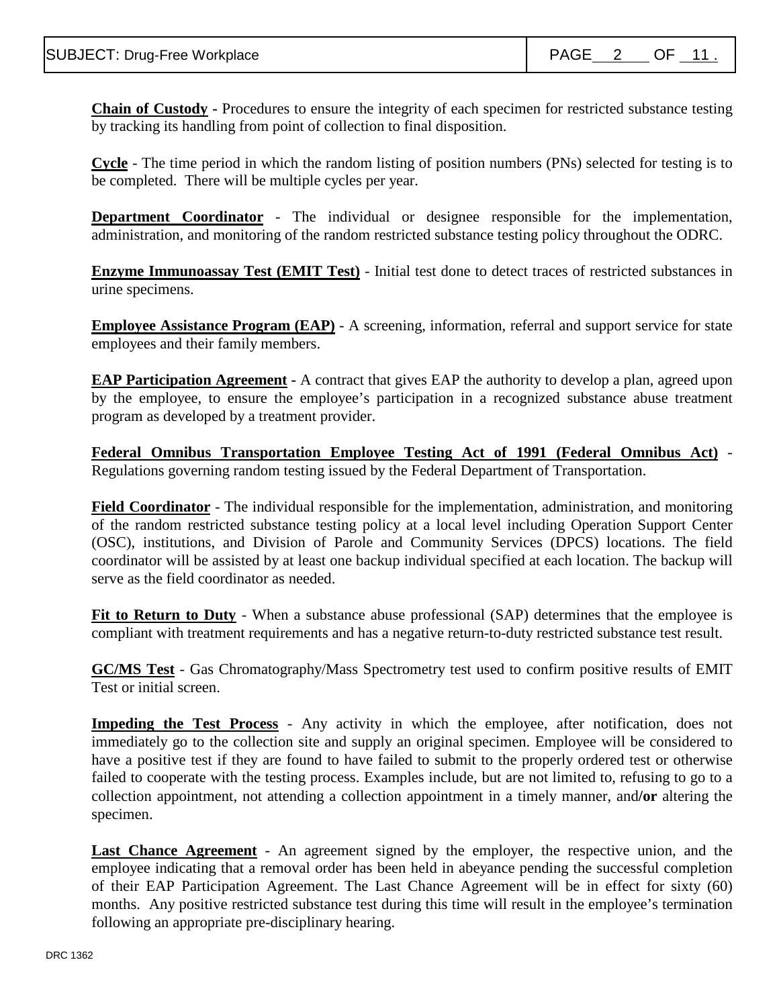**Chain of Custody -** Procedures to ensure the integrity of each specimen for restricted substance testing by tracking its handling from point of collection to final disposition.

**Cycle** - The time period in which the random listing of position numbers (PNs) selected for testing is to be completed. There will be multiple cycles per year.

**Department Coordinator** - The individual or designee responsible for the implementation, administration, and monitoring of the random restricted substance testing policy throughout the ODRC.

**Enzyme Immunoassay Test (EMIT Test)** - Initial test done to detect traces of restricted substances in urine specimens.

**Employee Assistance Program (EAP)** - A screening, information, referral and support service for state employees and their family members.

**EAP Participation Agreement -** A contract that gives EAP the authority to develop a plan, agreed upon by the employee, to ensure the employee's participation in a recognized substance abuse treatment program as developed by a treatment provider.

**Federal Omnibus Transportation Employee Testing Act of 1991 (Federal Omnibus Act)** - Regulations governing random testing issued by the Federal Department of Transportation.

**Field Coordinator** - The individual responsible for the implementation, administration, and monitoring of the random restricted substance testing policy at a local level including Operation Support Center (OSC), institutions, and Division of Parole and Community Services (DPCS) locations. The field coordinator will be assisted by at least one backup individual specified at each location. The backup will serve as the field coordinator as needed.

**Fit to Return to Duty** - When a substance abuse professional (SAP) determines that the employee is compliant with treatment requirements and has a negative return-to-duty restricted substance test result.

**GC/MS Test** - Gas Chromatography/Mass Spectrometry test used to confirm positive results of EMIT Test or initial screen.

**Impeding the Test Process** - Any activity in which the employee, after notification, does not immediately go to the collection site and supply an original specimen. Employee will be considered to have a positive test if they are found to have failed to submit to the properly ordered test or otherwise failed to cooperate with the testing process. Examples include, but are not limited to, refusing to go to a collection appointment, not attending a collection appointment in a timely manner, and**/or** altering the specimen.

Last Chance Agreement - An agreement signed by the employer, the respective union, and the employee indicating that a removal order has been held in abeyance pending the successful completion of their EAP Participation Agreement. The Last Chance Agreement will be in effect for sixty (60) months. Any positive restricted substance test during this time will result in the employee's termination following an appropriate pre-disciplinary hearing.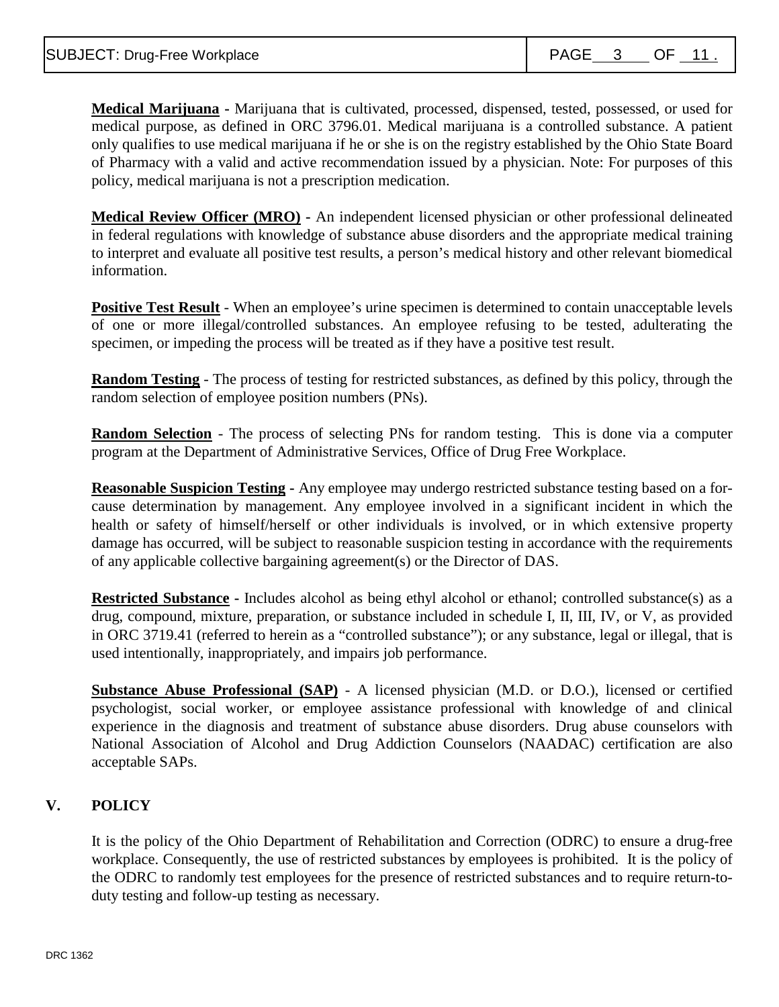**Medical Marijuana -** Marijuana that is cultivated, processed, dispensed, tested, possessed, or used for medical purpose, as defined in ORC 3796.01. Medical marijuana is a controlled substance. A patient only qualifies to use medical marijuana if he or she is on the registry established by the Ohio State Board of Pharmacy with a valid and active recommendation issued by a physician. Note: For purposes of this policy, medical marijuana is not a prescription medication.

**Medical Review Officer (MRO) -** An independent licensed physician or other professional delineated in federal regulations with knowledge of substance abuse disorders and the appropriate medical training to interpret and evaluate all positive test results, a person's medical history and other relevant biomedical information.

**Positive Test Result** - When an employee's urine specimen is determined to contain unacceptable levels of one or more illegal/controlled substances. An employee refusing to be tested, adulterating the specimen, or impeding the process will be treated as if they have a positive test result.

**Random Testing** - The process of testing for restricted substances, as defined by this policy, through the random selection of employee position numbers (PNs).

**Random Selection** - The process of selecting PNs for random testing. This is done via a computer program at the Department of Administrative Services, Office of Drug Free Workplace.

**Reasonable Suspicion Testing -** Any employee may undergo restricted substance testing based on a forcause determination by management. Any employee involved in a significant incident in which the health or safety of himself/herself or other individuals is involved, or in which extensive property damage has occurred, will be subject to reasonable suspicion testing in accordance with the requirements of any applicable collective bargaining agreement(s) or the Director of DAS.

**Restricted Substance** - Includes alcohol as being ethyl alcohol or ethanol; controlled substance(s) as a drug, compound, mixture, preparation, or substance included in schedule I, II, III, IV, or V, as provided in ORC 3719.41 (referred to herein as a "controlled substance"); or any substance, legal or illegal, that is used intentionally, inappropriately, and impairs job performance.

**Substance Abuse Professional (SAP)** - A licensed physician (M.D. or D.O.), licensed or certified psychologist, social worker, or employee assistance professional with knowledge of and clinical experience in the diagnosis and treatment of substance abuse disorders. Drug abuse counselors with National Association of Alcohol and Drug Addiction Counselors (NAADAC) certification are also acceptable SAPs.

## **V. POLICY**

It is the policy of the Ohio Department of Rehabilitation and Correction (ODRC) to ensure a drug-free workplace. Consequently, the use of restricted substances by employees is prohibited. It is the policy of the ODRC to randomly test employees for the presence of restricted substances and to require return-toduty testing and follow-up testing as necessary.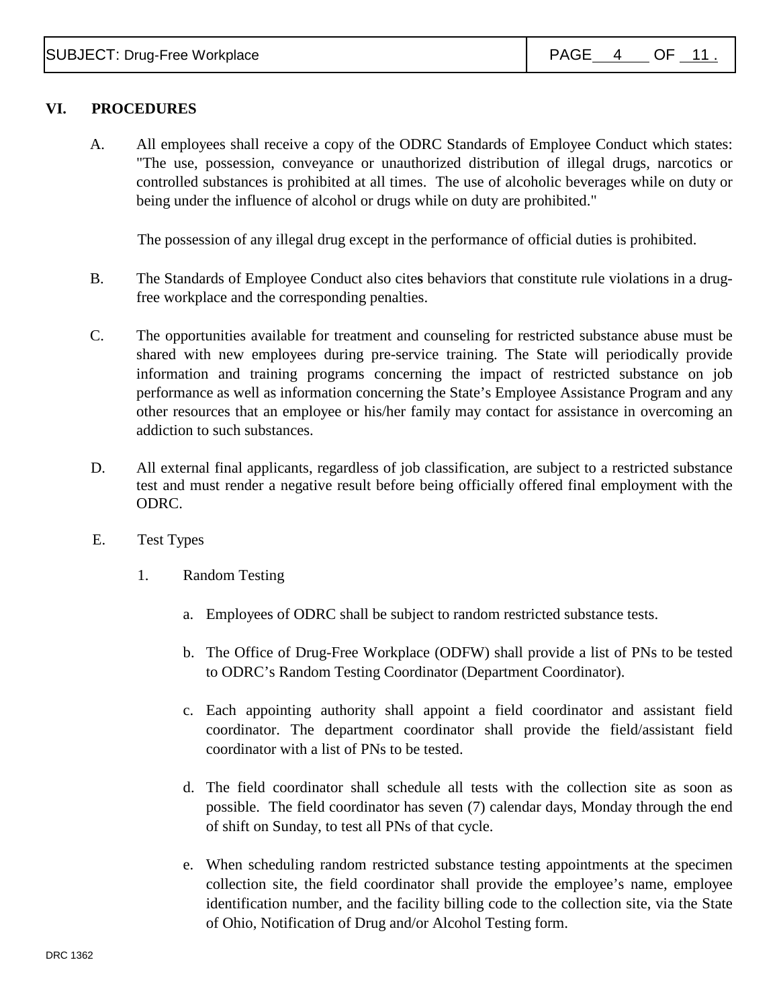# **VI. PROCEDURES**

A. All employees shall receive a copy of the ODRC Standards of Employee Conduct which states: "The use, possession, conveyance or unauthorized distribution of illegal drugs, narcotics or controlled substances is prohibited at all times. The use of alcoholic beverages while on duty or being under the influence of alcohol or drugs while on duty are prohibited."

The possession of any illegal drug except in the performance of official duties is prohibited.

- B. The Standards of Employee Conduct also cite**s** behaviors that constitute rule violations in a drugfree workplace and the corresponding penalties.
- C. The opportunities available for treatment and counseling for restricted substance abuse must be shared with new employees during pre-service training. The State will periodically provide information and training programs concerning the impact of restricted substance on job performance as well as information concerning the State's Employee Assistance Program and any other resources that an employee or his/her family may contact for assistance in overcoming an addiction to such substances.
- D. All external final applicants, regardless of job classification, are subject to a restricted substance test and must render a negative result before being officially offered final employment with the ODRC.
- E. Test Types
	- 1. Random Testing
		- a. Employees of ODRC shall be subject to random restricted substance tests.
		- b. The Office of Drug-Free Workplace (ODFW) shall provide a list of PNs to be tested to ODRC's Random Testing Coordinator (Department Coordinator).
		- c. Each appointing authority shall appoint a field coordinator and assistant field coordinator. The department coordinator shall provide the field/assistant field coordinator with a list of PNs to be tested.
		- d. The field coordinator shall schedule all tests with the collection site as soon as possible. The field coordinator has seven (7) calendar days, Monday through the end of shift on Sunday, to test all PNs of that cycle.
		- e. When scheduling random restricted substance testing appointments at the specimen collection site, the field coordinator shall provide the employee's name, employee identification number, and the facility billing code to the collection site, via the State of Ohio, Notification of Drug and/or Alcohol Testing form.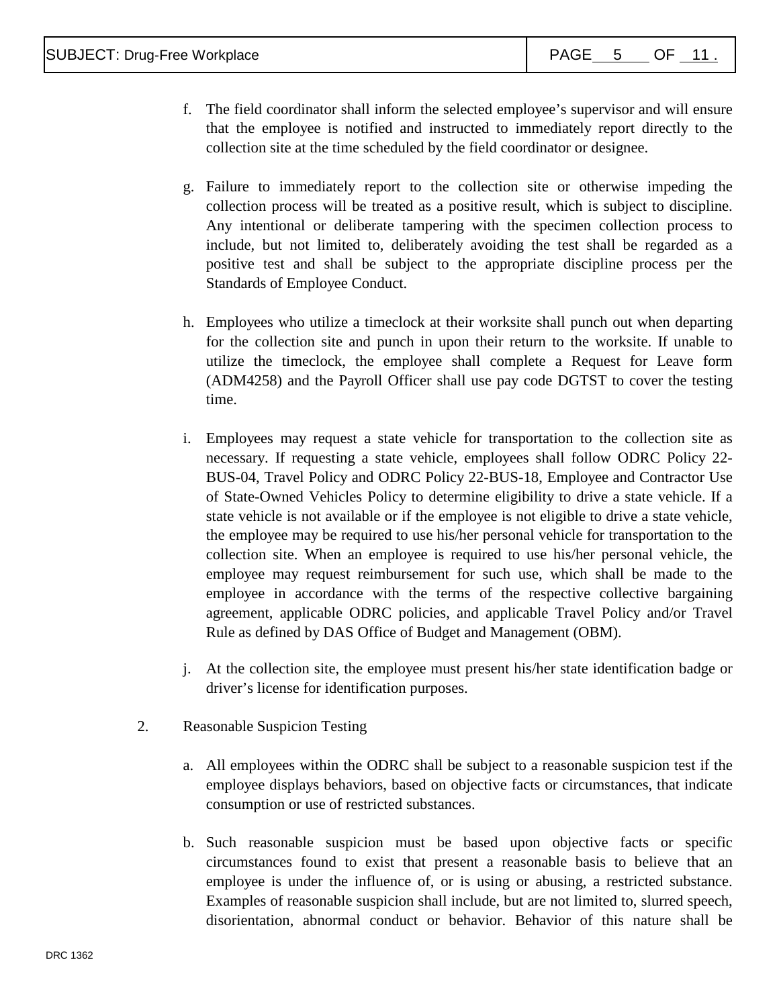- f. The field coordinator shall inform the selected employee's supervisor and will ensure that the employee is notified and instructed to immediately report directly to the collection site at the time scheduled by the field coordinator or designee.
- g. Failure to immediately report to the collection site or otherwise impeding the collection process will be treated as a positive result, which is subject to discipline. Any intentional or deliberate tampering with the specimen collection process to include, but not limited to, deliberately avoiding the test shall be regarded as a positive test and shall be subject to the appropriate discipline process per the Standards of Employee Conduct.
- h. Employees who utilize a timeclock at their worksite shall punch out when departing for the collection site and punch in upon their return to the worksite. If unable to utilize the timeclock, the employee shall complete a Request for Leave form (ADM4258) and the Payroll Officer shall use pay code DGTST to cover the testing time.
- i. Employees may request a state vehicle for transportation to the collection site as necessary. If requesting a state vehicle, employees shall follow ODRC Policy 22- BUS-04, Travel Policy and ODRC Policy 22-BUS-18, Employee and Contractor Use of State-Owned Vehicles Policy to determine eligibility to drive a state vehicle. If a state vehicle is not available or if the employee is not eligible to drive a state vehicle, the employee may be required to use his/her personal vehicle for transportation to the collection site. When an employee is required to use his/her personal vehicle, the employee may request reimbursement for such use, which shall be made to the employee in accordance with the terms of the respective collective bargaining agreement, applicable ODRC policies, and applicable Travel Policy and/or Travel Rule as defined by DAS Office of Budget and Management (OBM).
- j. At the collection site, the employee must present his/her state identification badge or driver's license for identification purposes.
- 2. Reasonable Suspicion Testing
	- a. All employees within the ODRC shall be subject to a reasonable suspicion test if the employee displays behaviors, based on objective facts or circumstances, that indicate consumption or use of restricted substances.
	- b. Such reasonable suspicion must be based upon objective facts or specific circumstances found to exist that present a reasonable basis to believe that an employee is under the influence of, or is using or abusing, a restricted substance. Examples of reasonable suspicion shall include, but are not limited to, slurred speech, disorientation, abnormal conduct or behavior. Behavior of this nature shall be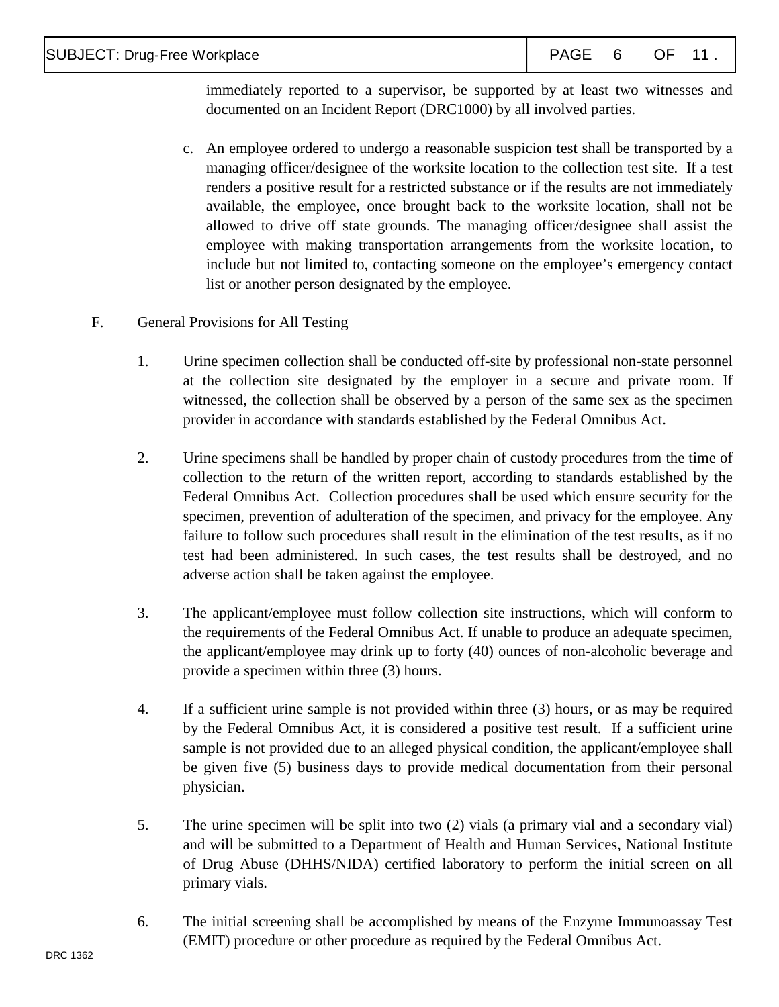immediately reported to a supervisor, be supported by at least two witnesses and documented on an Incident Report (DRC1000) by all involved parties.

- c. An employee ordered to undergo a reasonable suspicion test shall be transported by a managing officer/designee of the worksite location to the collection test site. If a test renders a positive result for a restricted substance or if the results are not immediately available, the employee, once brought back to the worksite location, shall not be allowed to drive off state grounds. The managing officer/designee shall assist the employee with making transportation arrangements from the worksite location, to include but not limited to, contacting someone on the employee's emergency contact list or another person designated by the employee.
- F. General Provisions for All Testing
	- 1. Urine specimen collection shall be conducted off**-**site by professional non-state personnel at the collection site designated by the employer in a secure and private room. If witnessed, the collection shall be observed by a person of the same sex as the specimen provider in accordance with standards established by the Federal Omnibus Act.
	- 2. Urine specimens shall be handled by proper chain of custody procedures from the time of collection to the return of the written report, according to standards established by the Federal Omnibus Act. Collection procedures shall be used which ensure security for the specimen, prevention of adulteration of the specimen, and privacy for the employee. Any failure to follow such procedures shall result in the elimination of the test results, as if no test had been administered. In such cases, the test results shall be destroyed, and no adverse action shall be taken against the employee.
	- 3. The applicant/employee must follow collection site instructions, which will conform to the requirements of the Federal Omnibus Act. If unable to produce an adequate specimen, the applicant/employee may drink up to forty (40) ounces of non-alcoholic beverage and provide a specimen within three (3) hours.
	- 4. If a sufficient urine sample is not provided within three (3) hours, or as may be required by the Federal Omnibus Act, it is considered a positive test result. If a sufficient urine sample is not provided due to an alleged physical condition, the applicant/employee shall be given five (5) business days to provide medical documentation from their personal physician.
	- 5. The urine specimen will be split into two (2) vials (a primary vial and a secondary vial) and will be submitted to a Department of Health and Human Services, National Institute of Drug Abuse (DHHS/NIDA) certified laboratory to perform the initial screen on all primary vials.
	- 6. The initial screening shall be accomplished by means of the Enzyme Immunoassay Test (EMIT) procedure or other procedure as required by the Federal Omnibus Act.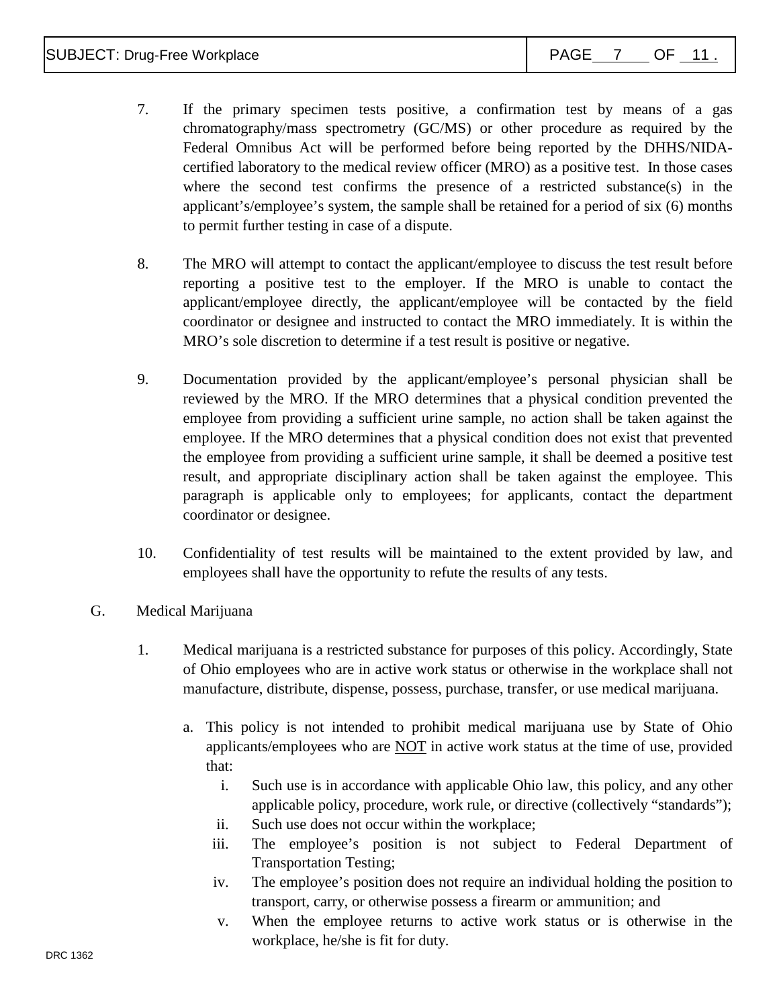- 7. If the primary specimen tests positive, a confirmation test by means of a gas chromatography/mass spectrometry (GC/MS) or other procedure as required by the Federal Omnibus Act will be performed before being reported by the DHHS/NIDAcertified laboratory to the medical review officer (MRO) as a positive test. In those cases where the second test confirms the presence of a restricted substance(s) in the applicant's/employee's system, the sample shall be retained for a period of six (6) months to permit further testing in case of a dispute.
- 8. The MRO will attempt to contact the applicant/employee to discuss the test result before reporting a positive test to the employer. If the MRO is unable to contact the applicant/employee directly, the applicant/employee will be contacted by the field coordinator or designee and instructed to contact the MRO immediately. It is within the MRO's sole discretion to determine if a test result is positive or negative.
- 9. Documentation provided by the applicant/employee's personal physician shall be reviewed by the MRO. If the MRO determines that a physical condition prevented the employee from providing a sufficient urine sample, no action shall be taken against the employee. If the MRO determines that a physical condition does not exist that prevented the employee from providing a sufficient urine sample, it shall be deemed a positive test result, and appropriate disciplinary action shall be taken against the employee. This paragraph is applicable only to employees; for applicants, contact the department coordinator or designee.
- 10. Confidentiality of test results will be maintained to the extent provided by law, and employees shall have the opportunity to refute the results of any tests.
- G. Medical Marijuana
	- 1. Medical marijuana is a restricted substance for purposes of this policy. Accordingly, State of Ohio employees who are in active work status or otherwise in the workplace shall not manufacture, distribute, dispense, possess, purchase, transfer, or use medical marijuana.
		- a. This policy is not intended to prohibit medical marijuana use by State of Ohio applicants/employees who are NOT in active work status at the time of use, provided that:
			- i. Such use is in accordance with applicable Ohio law, this policy, and any other applicable policy, procedure, work rule, or directive (collectively "standards");
			- ii. Such use does not occur within the workplace;
			- iii. The employee's position is not subject to Federal Department of Transportation Testing;
			- iv. The employee's position does not require an individual holding the position to transport, carry, or otherwise possess a firearm or ammunition; and
			- v. When the employee returns to active work status or is otherwise in the workplace, he/she is fit for duty.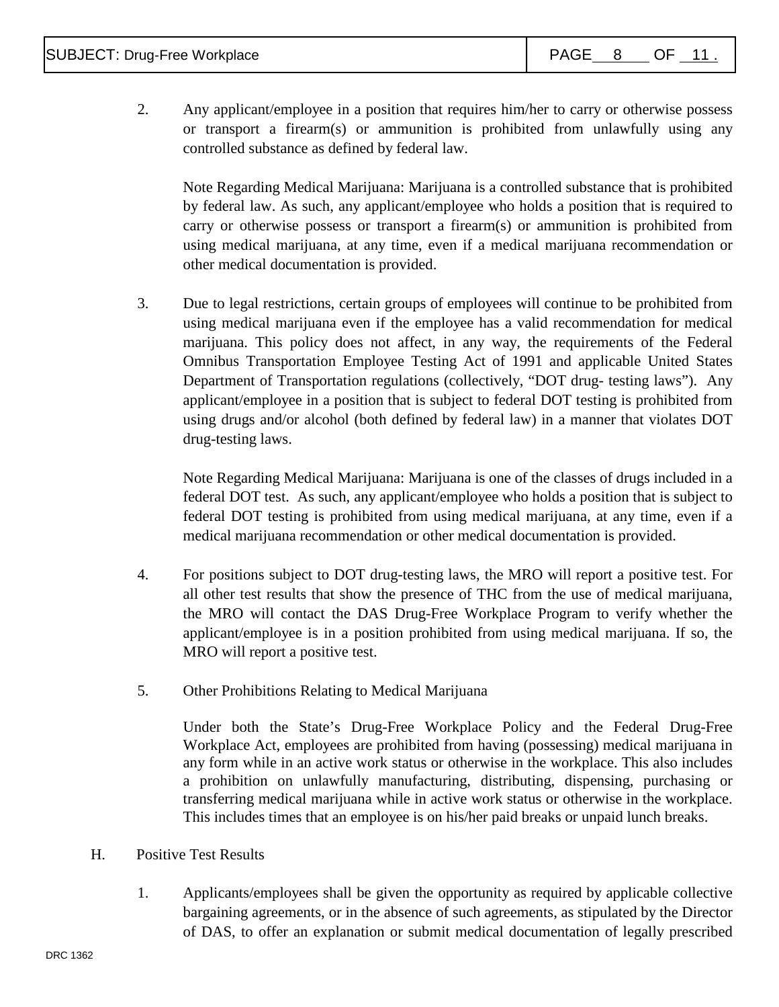2. Any applicant/employee in a position that requires him/her to carry or otherwise possess or transport a firearm(s) or ammunition is prohibited from unlawfully using any controlled substance as defined by federal law.

Note Regarding Medical Marijuana: Marijuana is a controlled substance that is prohibited by federal law. As such, any applicant/employee who holds a position that is required to carry or otherwise possess or transport a firearm(s) or ammunition is prohibited from using medical marijuana, at any time, even if a medical marijuana recommendation or other medical documentation is provided.

3. Due to legal restrictions, certain groups of employees will continue to be prohibited from using medical marijuana even if the employee has a valid recommendation for medical marijuana. This policy does not affect, in any way, the requirements of the Federal Omnibus Transportation Employee Testing Act of 1991 and applicable United States Department of Transportation regulations (collectively, "DOT drug- testing laws"). Any applicant/employee in a position that is subject to federal DOT testing is prohibited from using drugs and/or alcohol (both defined by federal law) in a manner that violates DOT drug-testing laws.

Note Regarding Medical Marijuana: Marijuana is one of the classes of drugs included in a federal DOT test. As such, any applicant/employee who holds a position that is subject to federal DOT testing is prohibited from using medical marijuana, at any time, even if a medical marijuana recommendation or other medical documentation is provided.

- 4. For positions subject to DOT drug-testing laws, the MRO will report a positive test. For all other test results that show the presence of THC from the use of medical marijuana, the MRO will contact the DAS Drug-Free Workplace Program to verify whether the applicant/employee is in a position prohibited from using medical marijuana. If so, the MRO will report a positive test.
- 5. Other Prohibitions Relating to Medical Marijuana

Under both the State's Drug-Free Workplace Policy and the Federal Drug-Free Workplace Act, employees are prohibited from having (possessing) medical marijuana in any form while in an active work status or otherwise in the workplace. This also includes a prohibition on unlawfully manufacturing, distributing, dispensing, purchasing or transferring medical marijuana while in active work status or otherwise in the workplace. This includes times that an employee is on his/her paid breaks or unpaid lunch breaks.

- H. Positive Test Results
	- 1. Applicants/employees shall be given the opportunity as required by applicable collective bargaining agreements, or in the absence of such agreements, as stipulated by the Director of DAS, to offer an explanation or submit medical documentation of legally prescribed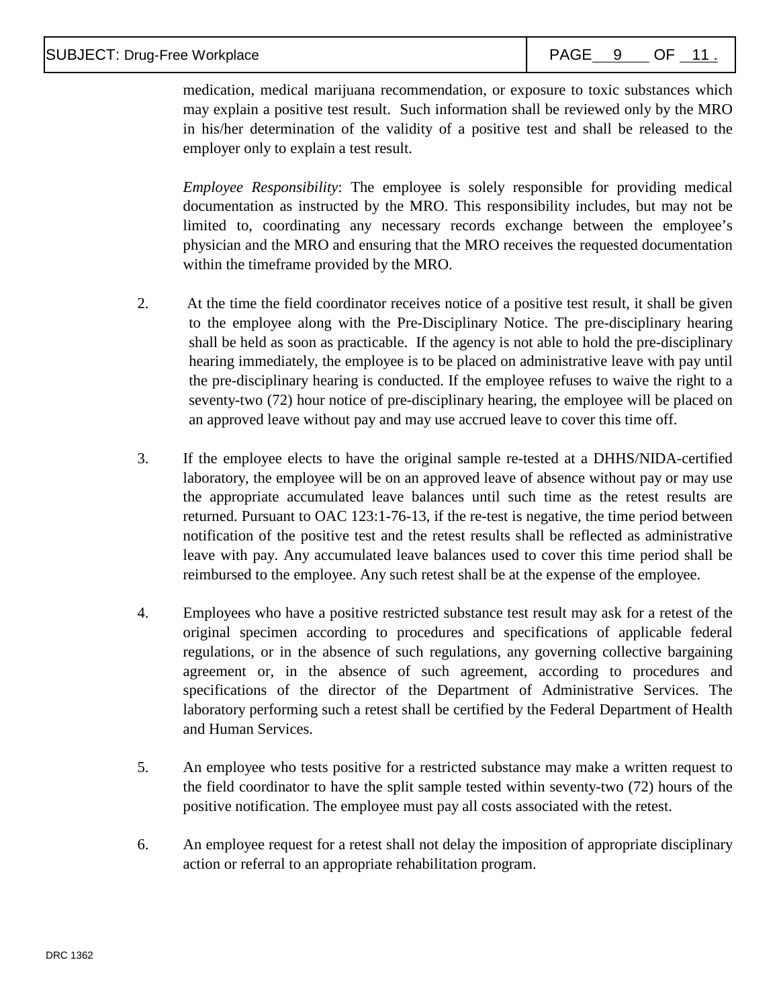### SUBJECT: Drug-Free Workplace  $\begin{array}{|c|c|c|c|c|}\n\hline\n\end{array}$  PAGE 9 OF 11 .

medication, medical marijuana recommendation, or exposure to toxic substances which may explain a positive test result. Such information shall be reviewed only by the MRO in his/her determination of the validity of a positive test and shall be released to the employer only to explain a test result.

*Employee Responsibility*: The employee is solely responsible for providing medical documentation as instructed by the MRO. This responsibility includes, but may not be limited to, coordinating any necessary records exchange between the employee's physician and the MRO and ensuring that the MRO receives the requested documentation within the timeframe provided by the MRO.

- 2. At the time the field coordinator receives notice of a positive test result, it shall be given to the employee along with the Pre-Disciplinary Notice. The pre-disciplinary hearing shall be held as soon as practicable. If the agency is not able to hold the pre-disciplinary hearing immediately, the employee is to be placed on administrative leave with pay until the pre-disciplinary hearing is conducted. If the employee refuses to waive the right to a seventy-two (72) hour notice of pre-disciplinary hearing, the employee will be placed on an approved leave without pay and may use accrued leave to cover this time off.
- 3. If the employee elects to have the original sample re-tested at a DHHS/NIDA-certified laboratory, the employee will be on an approved leave of absence without pay or may use the appropriate accumulated leave balances until such time as the retest results are returned. Pursuant to OAC 123:1-76-13, if the re-test is negative, the time period between notification of the positive test and the retest results shall be reflected as administrative leave with pay. Any accumulated leave balances used to cover this time period shall be reimbursed to the employee. Any such retest shall be at the expense of the employee.
- 4. Employees who have a positive restricted substance test result may ask for a retest of the original specimen according to procedures and specifications of applicable federal regulations, or in the absence of such regulations, any governing collective bargaining agreement or, in the absence of such agreement, according to procedures and specifications of the director of the Department of Administrative Services. The laboratory performing such a retest shall be certified by the Federal Department of Health and Human Services.
- 5. An employee who tests positive for a restricted substance may make a written request to the field coordinator to have the split sample tested within seventy-two (72) hours of the positive notification. The employee must pay all costs associated with the retest.
- 6. An employee request for a retest shall not delay the imposition of appropriate disciplinary action or referral to an appropriate rehabilitation program.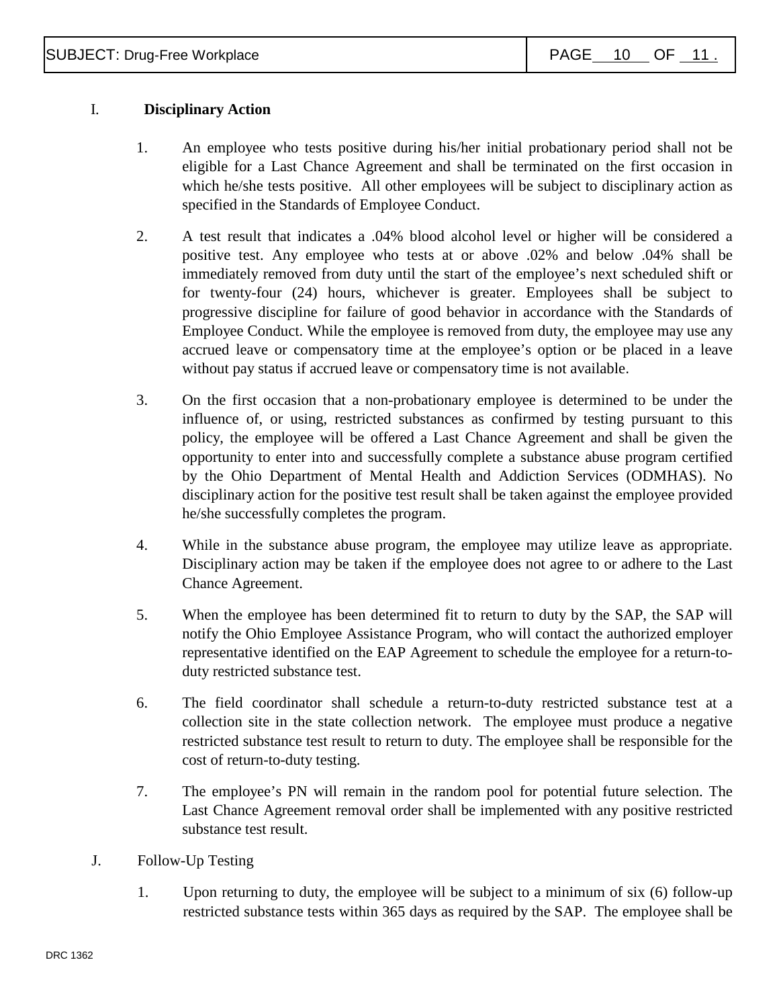## I. **Disciplinary Action**

- 1. An employee who tests positive during his/her initial probationary period shall not be eligible for a Last Chance Agreement and shall be terminated on the first occasion in which he/she tests positive. All other employees will be subject to disciplinary action as specified in the Standards of Employee Conduct.
- 2. A test result that indicates a .04% blood alcohol level or higher will be considered a positive test. Any employee who tests at or above .02% and below .04% shall be immediately removed from duty until the start of the employee's next scheduled shift or for twenty-four (24) hours, whichever is greater. Employees shall be subject to progressive discipline for failure of good behavior in accordance with the Standards of Employee Conduct. While the employee is removed from duty, the employee may use any accrued leave or compensatory time at the employee's option or be placed in a leave without pay status if accrued leave or compensatory time is not available.
- 3. On the first occasion that a non-probationary employee is determined to be under the influence of, or using, restricted substances as confirmed by testing pursuant to this policy, the employee will be offered a Last Chance Agreement and shall be given the opportunity to enter into and successfully complete a substance abuse program certified by the Ohio Department of Mental Health and Addiction Services (ODMHAS). No disciplinary action for the positive test result shall be taken against the employee provided he/she successfully completes the program.
- 4. While in the substance abuse program, the employee may utilize leave as appropriate. Disciplinary action may be taken if the employee does not agree to or adhere to the Last Chance Agreement.
- 5. When the employee has been determined fit to return to duty by the SAP, the SAP will notify the Ohio Employee Assistance Program, who will contact the authorized employer representative identified on the EAP Agreement to schedule the employee for a return-toduty restricted substance test.
- 6. The field coordinator shall schedule a return-to-duty restricted substance test at a collection site in the state collection network. The employee must produce a negative restricted substance test result to return to duty. The employee shall be responsible for the cost of return-to-duty testing.
- 7. The employee's PN will remain in the random pool for potential future selection. The Last Chance Agreement removal order shall be implemented with any positive restricted substance test result.
- J. Follow-Up Testing
	- 1. Upon returning to duty, the employee will be subject to a minimum of six (6) follow-up restricted substance tests within 365 days as required by the SAP. The employee shall be